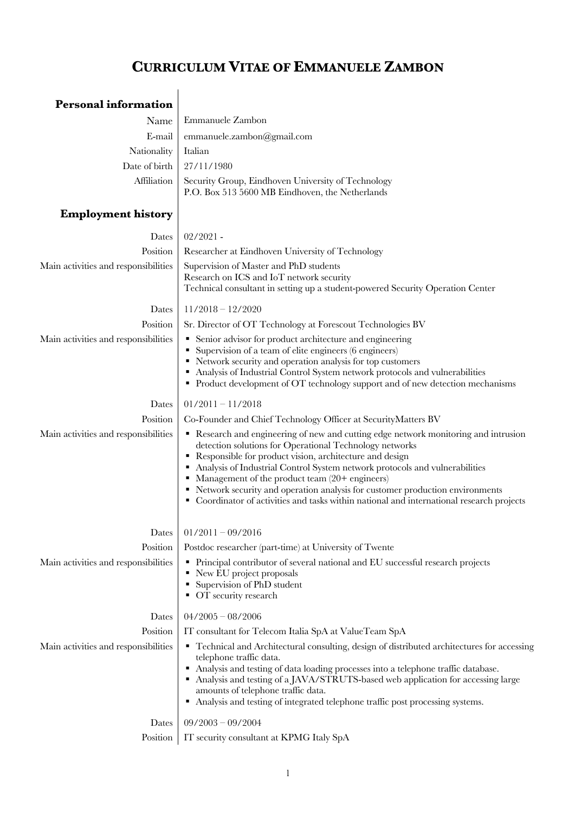## **CURRICULUM VITAE OF EMMANUELE ZAMBON**

## **Personal information**

|                       | Name   Emmanuele Zambon                                                                                           |
|-----------------------|-------------------------------------------------------------------------------------------------------------------|
|                       | E-mail emmanuele.zambon@gmail.com                                                                                 |
| Nationality   Italian |                                                                                                                   |
|                       | Date of birth $\Big  27/11/1980$                                                                                  |
|                       | Affiliation Security Group, Eindhoven University of Technology<br>P.O. Box 513 5600 MB Eindhoven, the Netherlands |
|                       |                                                                                                                   |

## **Employment history**

| Dates                                | $02/2021$ -                                                                                                                                                                                                                                                                                                                                                                                                                                                                                                                    |
|--------------------------------------|--------------------------------------------------------------------------------------------------------------------------------------------------------------------------------------------------------------------------------------------------------------------------------------------------------------------------------------------------------------------------------------------------------------------------------------------------------------------------------------------------------------------------------|
| Position                             | Researcher at Eindhoven University of Technology                                                                                                                                                                                                                                                                                                                                                                                                                                                                               |
| Main activities and responsibilities | Supervision of Master and PhD students<br>Research on ICS and IoT network security<br>Technical consultant in setting up a student-powered Security Operation Center                                                                                                                                                                                                                                                                                                                                                           |
| Dates                                | $11/2018 - 12/2020$                                                                                                                                                                                                                                                                                                                                                                                                                                                                                                            |
| Position                             | Sr. Director of OT Technology at Forescout Technologies BV                                                                                                                                                                                                                                                                                                                                                                                                                                                                     |
| Main activities and responsibilities | • Senior advisor for product architecture and engineering<br>Supervision of a team of elite engineers (6 engineers)<br>• Network security and operation analysis for top customers<br>Analysis of Industrial Control System network protocols and vulnerabilities<br>• Product development of OT technology support and of new detection mechanisms                                                                                                                                                                            |
| Dates                                | $01/2011 - 11/2018$                                                                                                                                                                                                                                                                                                                                                                                                                                                                                                            |
| Position                             | Co-Founder and Chief Technology Officer at SecurityMatters BV                                                                                                                                                                                                                                                                                                                                                                                                                                                                  |
| Main activities and responsibilities | Research and engineering of new and cutting edge network monitoring and intrusion<br>detection solutions for Operational Technology networks<br>Responsible for product vision, architecture and design<br>• Analysis of Industrial Control System network protocols and vulnerabilities<br>• Management of the product team $(20 +$ engineers)<br>• Network security and operation analysis for customer production environments<br>• Coordinator of activities and tasks within national and international research projects |
| Dates                                | $01/2011 - 09/2016$                                                                                                                                                                                                                                                                                                                                                                                                                                                                                                            |
| Position                             | Postdoc researcher (part-time) at University of Twente                                                                                                                                                                                                                                                                                                                                                                                                                                                                         |
| Main activities and responsibilities | • Principal contributor of several national and EU successful research projects<br>• New EU project proposals<br>Supervision of PhD student<br>• OT security research                                                                                                                                                                                                                                                                                                                                                          |
| Dates                                | $04/2005 - 08/2006$                                                                                                                                                                                                                                                                                                                                                                                                                                                                                                            |
| Position                             | IT consultant for Telecom Italia SpA at ValueTeam SpA                                                                                                                                                                                                                                                                                                                                                                                                                                                                          |
| Main activities and responsibilities | • Technical and Architectural consulting, design of distributed architectures for accessing<br>telephone traffic data.<br>Analysis and testing of data loading processes into a telephone traffic database.<br>Analysis and testing of a JAVA/STRUTS-based web application for accessing large<br>amounts of telephone traffic data.<br>• Analysis and testing of integrated telephone traffic post processing systems.                                                                                                        |
| Dates                                | $09/2003 - 09/2004$                                                                                                                                                                                                                                                                                                                                                                                                                                                                                                            |
| Position                             | IT security consultant at KPMG Italy SpA                                                                                                                                                                                                                                                                                                                                                                                                                                                                                       |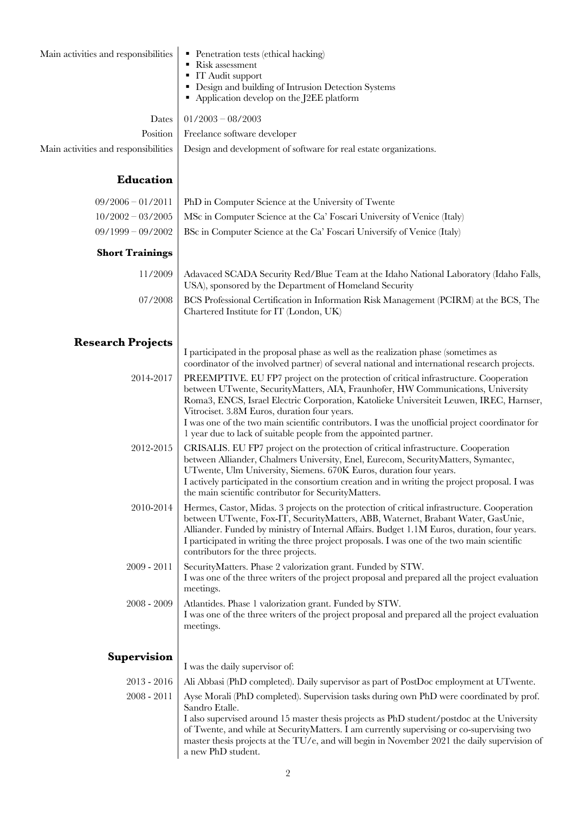| Main activities and responsibilities | • Penetration tests (ethical hacking)<br>Risk assessment<br>• IT Audit support<br>• Design and building of Intrusion Detection Systems<br>Application develop on the J2EE platform                                                                                                                                                                                                                                                                                                          |
|--------------------------------------|---------------------------------------------------------------------------------------------------------------------------------------------------------------------------------------------------------------------------------------------------------------------------------------------------------------------------------------------------------------------------------------------------------------------------------------------------------------------------------------------|
| Dates                                | $01/2003 - 08/2003$                                                                                                                                                                                                                                                                                                                                                                                                                                                                         |
| Position                             | Freelance software developer                                                                                                                                                                                                                                                                                                                                                                                                                                                                |
| Main activities and responsibilities | Design and development of software for real estate organizations.                                                                                                                                                                                                                                                                                                                                                                                                                           |
| Education                            |                                                                                                                                                                                                                                                                                                                                                                                                                                                                                             |
| $09/2006 - 01/2011$                  | PhD in Computer Science at the University of Twente                                                                                                                                                                                                                                                                                                                                                                                                                                         |
| $10/2002 - 03/2005$                  | MSc in Computer Science at the Ca' Foscari University of Venice (Italy)                                                                                                                                                                                                                                                                                                                                                                                                                     |
| $09/1999 - 09/2002$                  | BSc in Computer Science at the Ca' Foscari Universify of Venice (Italy)                                                                                                                                                                                                                                                                                                                                                                                                                     |
| <b>Short Trainings</b>               |                                                                                                                                                                                                                                                                                                                                                                                                                                                                                             |
| 11/2009                              | Adavaced SCADA Security Red/Blue Team at the Idaho National Laboratory (Idaho Falls,<br>USA), sponsored by the Department of Homeland Security                                                                                                                                                                                                                                                                                                                                              |
| 07/2008                              | BCS Professional Certification in Information Risk Management (PCIRM) at the BCS, The<br>Chartered Institute for IT (London, UK)                                                                                                                                                                                                                                                                                                                                                            |
| <b>Research Projects</b>             |                                                                                                                                                                                                                                                                                                                                                                                                                                                                                             |
|                                      | I participated in the proposal phase as well as the realization phase (sometimes as<br>coordinator of the involved partner) of several national and international research projects.                                                                                                                                                                                                                                                                                                        |
| 2014-2017                            | PREEMPTIVE. EU FP7 project on the protection of critical infrastructure. Cooperation<br>between UTwente, SecurityMatters, AIA, Fraunhofer, HW Communications, University<br>Roma3, ENCS, Israel Electric Corporation, Katolieke Universiteit Leuwen, IREC, Harnser,<br>Vitrociset. 3.8M Euros, duration four years.<br>I was one of the two main scientific contributors. I was the unofficial project coordinator for<br>1 year due to lack of suitable people from the appointed partner. |
| 2012-2015                            | CRISALIS. EU FP7 project on the protection of critical infrastructure. Cooperation<br>between Alliander, Chalmers University, Enel, Eurecom, SecurityMatters, Symantec,<br>UTwente, Ulm University, Siemens. 670K Euros, duration four years.<br>I actively participated in the consortium creation and in writing the project proposal. I was<br>the main scientific contributor for SecurityMatters.                                                                                      |
| 2010-2014                            | Hermes, Castor, Midas. 3 projects on the protection of critical infrastructure. Cooperation<br>between UTwente, Fox-IT, SecurityMatters, ABB, Waternet, Brabant Water, GasUnie,<br>Alliander. Funded by ministry of Internal Affairs. Budget 1.1M Euros, duration, four years.<br>I participated in writing the three project proposals. I was one of the two main scientific<br>contributors for the three projects.                                                                       |
| 2009 - 2011                          | SecurityMatters. Phase 2 valorization grant. Funded by STW.<br>I was one of the three writers of the project proposal and prepared all the project evaluation<br>meetings.                                                                                                                                                                                                                                                                                                                  |
| 2008 - 2009                          | Atlantides. Phase 1 valorization grant. Funded by STW.<br>I was one of the three writers of the project proposal and prepared all the project evaluation<br>meetings.                                                                                                                                                                                                                                                                                                                       |
| <b>Supervision</b>                   |                                                                                                                                                                                                                                                                                                                                                                                                                                                                                             |
|                                      | I was the daily supervisor of:                                                                                                                                                                                                                                                                                                                                                                                                                                                              |
| $2013 - 2016$                        | Ali Abbasi (PhD completed). Daily supervisor as part of PostDoc employment at UTwente.                                                                                                                                                                                                                                                                                                                                                                                                      |
| $2008 - 2011$                        | Ayse Morali (PhD completed). Supervision tasks during own PhD were coordinated by prof.<br>Sandro Etalle.<br>I also supervised around 15 master thesis projects as PhD student/postdoc at the University<br>of Twente, and while at SecurityMatters. I am currently supervising or co-supervising two<br>master thesis projects at the $TU/e$ , and will begin in November 2021 the daily supervision of<br>a new PhD student.                                                              |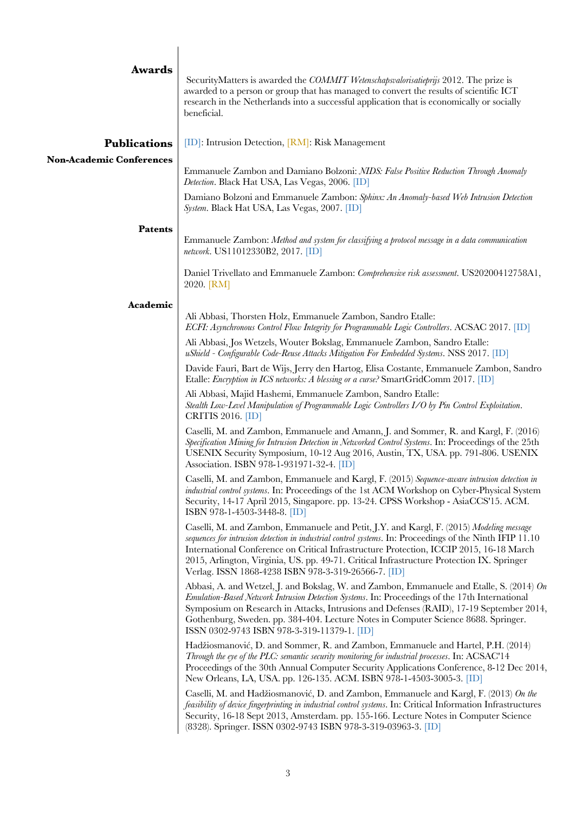| <b>Awards</b>                   | SecurityMatters is awarded the COMMIT Wetenschapsvalorisatieprijs 2012. The prize is<br>awarded to a person or group that has managed to convert the results of scientific ICT<br>research in the Netherlands into a successful application that is economically or socially<br>beneficial.                                                                                                                                                        |
|---------------------------------|----------------------------------------------------------------------------------------------------------------------------------------------------------------------------------------------------------------------------------------------------------------------------------------------------------------------------------------------------------------------------------------------------------------------------------------------------|
| <b>Publications</b>             | $[D]$ : Intrusion Detection, $\overline{RM}$ : Risk Management                                                                                                                                                                                                                                                                                                                                                                                     |
| <b>Non-Academic Conferences</b> | Emmanuele Zambon and Damiano Bolzoni: NIDS: False Positive Reduction Through Anomaly<br>Detection. Black Hat USA, Las Vegas, 2006. [ID]                                                                                                                                                                                                                                                                                                            |
|                                 | Damiano Bolzoni and Emmanuele Zambon: Sphinx: An Anomaly-based Web Intrusion Detection<br>System. Black Hat USA, Las Vegas, 2007. [ID]                                                                                                                                                                                                                                                                                                             |
| <b>Patents</b>                  | Emmanuele Zambon: Method and system for classifying a protocol message in a data communication                                                                                                                                                                                                                                                                                                                                                     |
|                                 | network. US11012330B2, 2017. [ID]                                                                                                                                                                                                                                                                                                                                                                                                                  |
|                                 | Daniel Trivellato and Emmanuele Zambon: Comprehensive risk assessment. US20200412758A1,<br>2020. [RM]                                                                                                                                                                                                                                                                                                                                              |
| Academic                        | Ali Abbasi, Thorsten Holz, Emmanuele Zambon, Sandro Etalle:                                                                                                                                                                                                                                                                                                                                                                                        |
|                                 | ECFI: Asynchronous Control Flow Integrity for Programmable Logic Controllers. ACSAC 2017. [ID]<br>Ali Abbasi, Jos Wetzels, Wouter Bokslag, Emmanuele Zambon, Sandro Etalle:                                                                                                                                                                                                                                                                        |
|                                 | uShield - Configurable Code-Reuse Attacks Mitigation For Embedded Systems. NSS 2017. [ID]                                                                                                                                                                                                                                                                                                                                                          |
|                                 | Davide Fauri, Bart de Wijs, Jerry den Hartog, Elisa Costante, Emmanuele Zambon, Sandro<br>Etalle: Encryption in ICS networks: A blessing or a curse? SmartGridComm 2017. [ID]                                                                                                                                                                                                                                                                      |
|                                 | Ali Abbasi, Majid Hashemi, Emmanuele Zambon, Sandro Etalle:<br>Stealth Low-Level Manipulation of Programmable Logic Controllers I/O by Pin Control Exploitation.<br>CRITIS 2016. [ID]                                                                                                                                                                                                                                                              |
|                                 | Caselli, M. and Zambon, Emmanuele and Amann, J. and Sommer, R. and Kargl, F. (2016)<br>Specification Mining for Intrusion Detection in Networked Control Systems. In: Proceedings of the 25th<br>USENIX Security Symposium, 10-12 Aug 2016, Austin, TX, USA. pp. 791-806. USENIX<br>Association. ISBN 978-1-931971-32-4. [ID]                                                                                                                      |
|                                 | Caselli, M. and Zambon, Emmanuele and Kargl, F. (2015) Sequence-aware intrusion detection in<br>industrial control systems. In: Proceedings of the 1st ACM Workshop on Cyber-Physical System<br>Security, 14-17 April 2015, Singapore. pp. 13-24. CPSS Workshop - AsiaCCS'15. ACM.<br>ISBN 978-1-4503-3448-8. [ID]                                                                                                                                 |
|                                 | Caselli, M. and Zambon, Emmanuele and Petit, J.Y. and Kargl, F. (2015) Modeling message<br>sequences for intrusion detection in industrial control systems. In: Proceedings of the Ninth IFIP 11.10<br>International Conference on Critical Infrastructure Protection, ICCIP 2015, 16-18 March<br>2015, Arlington, Virginia, US. pp. 49-71. Critical Infrastructure Protection IX. Springer<br>Verlag. ISSN 1868-4238 ISBN 978-3-319-26566-7. [ID] |
|                                 | Abbasi, A. and Wetzel, J. and Bokslag, W. and Zambon, Emmanuele and Etalle, S. $(2014)$ On<br>Emulation-Based Network Intrusion Detection Systems. In: Proceedings of the 17th International<br>Symposium on Research in Attacks, Intrusions and Defenses (RAID), 17-19 September 2014,<br>Gothenburg, Sweden. pp. 384-404. Lecture Notes in Computer Science 8688. Springer.<br>ISSN 0302-9743 ISBN 978-3-319-11379-1. [ID]                       |
|                                 | Hadžiosmanović, D. and Sommer, R. and Zambon, Emmanuele and Hartel, P.H. (2014)<br>Through the eye of the PLC: semantic security monitoring for industrial processes. In: ACSAC'14<br>Proceedings of the 30th Annual Computer Security Applications Conference, 8-12 Dec 2014,<br>New Orleans, LA, USA. pp. 126-135. ACM. ISBN 978-1-4503-3005-3. [ID]                                                                                             |
|                                 | Caselli, M. and Hadžiosmanović, D. and Zambon, Emmanuele and Kargl, F. (2013) On the<br>feasibility of device fingerprinting in industrial control systems. In: Critical Information Infrastructures<br>Security, 16-18 Sept 2013, Amsterdam. pp. 155-166. Lecture Notes in Computer Science<br>(8328). Springer. ISSN 0302-9743 ISBN 978-3-319-03963-3. [ID]                                                                                      |